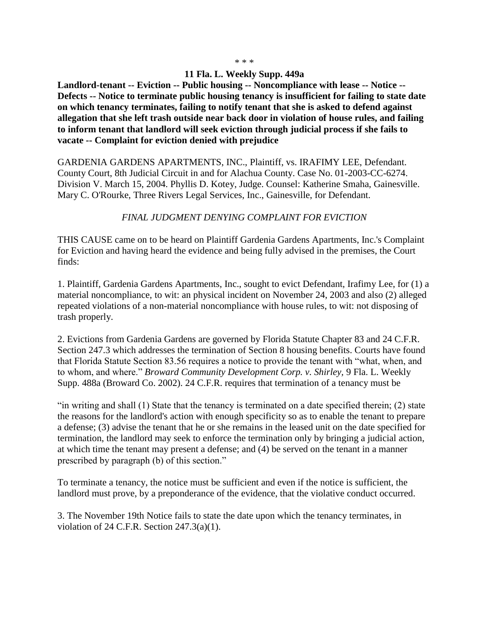## **11 Fla. L. Weekly Supp. 449a**

**Landlord-tenant -- Eviction -- Public housing -- Noncompliance with lease -- Notice -- Defects -- Notice to terminate public housing tenancy is insufficient for failing to state date on which tenancy terminates, failing to notify tenant that she is asked to defend against allegation that she left trash outside near back door in violation of house rules, and failing to inform tenant that landlord will seek eviction through judicial process if she fails to vacate -- Complaint for eviction denied with prejudice**

GARDENIA GARDENS APARTMENTS, INC., Plaintiff, vs. IRAFIMY LEE, Defendant. County Court, 8th Judicial Circuit in and for Alachua County. Case No. 01-2003-CC-6274. Division V. March 15, 2004. Phyllis D. Kotey, Judge. Counsel: Katherine Smaha, Gainesville. Mary C. O'Rourke, Three Rivers Legal Services, Inc., Gainesville, for Defendant.

## *FINAL JUDGMENT DENYING COMPLAINT FOR EVICTION*

THIS CAUSE came on to be heard on Plaintiff Gardenia Gardens Apartments, Inc.'s Complaint for Eviction and having heard the evidence and being fully advised in the premises, the Court finds:

1. Plaintiff, Gardenia Gardens Apartments, Inc., sought to evict Defendant, Irafimy Lee, for (1) a material noncompliance, to wit: an physical incident on November 24, 2003 and also (2) alleged repeated violations of a non-material noncompliance with house rules, to wit: not disposing of trash properly.

2. Evictions from Gardenia Gardens are governed by Florida Statute Chapter 83 and 24 C.F.R. Section 247.3 which addresses the termination of Section 8 housing benefits. Courts have found that Florida Statute Section 83.56 requires a notice to provide the tenant with "what, when, and to whom, and where." *Broward Community Development Corp. v. Shirley,* 9 Fla. L. Weekly Supp. 488a (Broward Co. 2002). 24 C.F.R. requires that termination of a tenancy must be

"in writing and shall (1) State that the tenancy is terminated on a date specified therein; (2) state the reasons for the landlord's action with enough specificity so as to enable the tenant to prepare a defense; (3) advise the tenant that he or she remains in the leased unit on the date specified for termination, the landlord may seek to enforce the termination only by bringing a judicial action, at which time the tenant may present a defense; and (4) be served on the tenant in a manner prescribed by paragraph (b) of this section."

To terminate a tenancy, the notice must be sufficient and even if the notice is sufficient, the landlord must prove, by a preponderance of the evidence, that the violative conduct occurred.

3. The November 19th Notice fails to state the date upon which the tenancy terminates, in violation of 24 C.F.R. Section 247.3(a)(1).